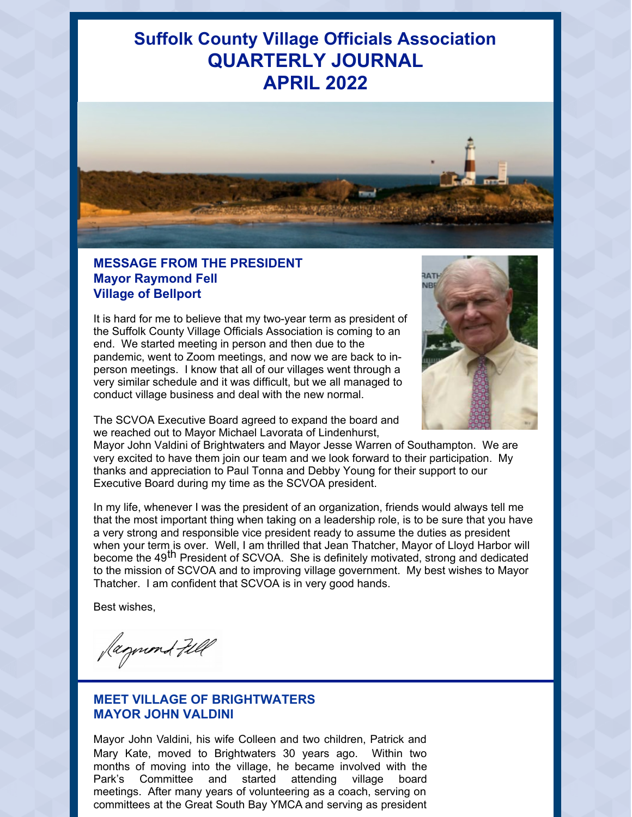# **Suffolk County Village Officials Association QUARTERLY JOURNAL APRIL 2022**



## **MESSAGE FROM THE PRESIDENT Mayor Raymond Fell Village of Bellport**

It is hard for me to believe that my two-year term as president of the Suffolk County Village Officials Association is coming to an end. We started meeting in person and then due to the pandemic, went to Zoom meetings, and now we are back to inperson meetings. I know that all of our villages went through a very similar schedule and it was difficult, but we all managed to conduct village business and deal with the new normal.



The SCVOA Executive Board agreed to expand the board and we reached out to Mayor Michael Lavorata of Lindenhurst,

Mayor John Valdini of Brightwaters and Mayor Jesse Warren of Southampton. We are very excited to have them join our team and we look forward to their participation. My thanks and appreciation to Paul Tonna and Debby Young for their support to our Executive Board during my time as the SCVOA president.

In my life, whenever I was the president of an organization, friends would always tell me that the most important thing when taking on a leadership role, is to be sure that you have a very strong and responsible vice president ready to assume the duties as president when your term is over. Well, I am thrilled that Jean Thatcher, Mayor of Lloyd Harbor will men your temple over them, runnamies that count material, may be or Encyclonated minito the mission of SCVOA and to improving village government. My best wishes to Mayor Thatcher. I am confident that SCVOA is in very good hands.

Best wishes,

Jagund Fill

## **MEET VILLAGE OF BRIGHTWATERS MAYOR JOHN VALDINI**

Mayor John Valdini, his wife Colleen and two children, Patrick and Mary Kate, moved to Brightwaters 30 years ago. Within two months of moving into the village, he became involved with the Park's Committee and started attending village board meetings. After many years of volunteering as a coach, serving on committees at the Great South Bay YMCA and serving as president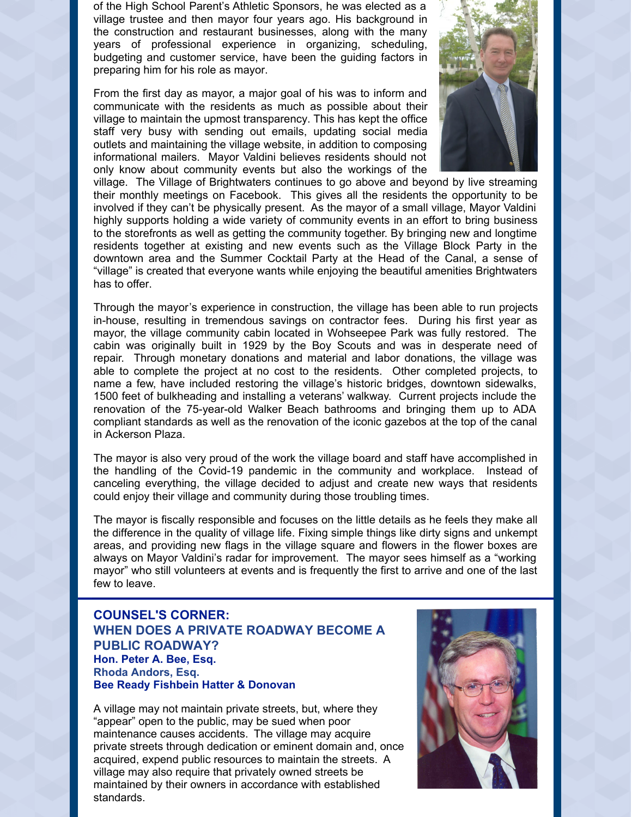of the High School Parent's Athletic Sponsors, he was elected as a village trustee and then mayor four years ago. His background in the construction and restaurant businesses, along with the many years of professional experience in organizing, scheduling, budgeting and customer service, have been the guiding factors in preparing him for his role as mayor.

From the first day as mayor, a major goal of his was to inform and communicate with the residents as much as possible about their village to maintain the upmost transparency. This has kept the office staff very busy with sending out emails, updating social media outlets and maintaining the village website, in addition to composing informational mailers. Mayor Valdini believes residents should not only know about community events but also the workings of the



village. The Village of Brightwaters continues to go above and beyond by live streaming their monthly meetings on Facebook. This gives all the residents the opportunity to be involved if they can't be physically present. As the mayor of a small village, Mayor Valdini highly supports holding a wide variety of community events in an effort to bring business to the storefronts as well as getting the community together. By bringing new and longtime residents together at existing and new events such as the Village Block Party in the downtown area and the Summer Cocktail Party at the Head of the Canal, a sense of "village" is created that everyone wants while enjoying the beautiful amenities Brightwaters has to offer.

Through the mayor's experience in construction, the village has been able to run projects in-house, resulting in tremendous savings on contractor fees. During his first year as mayor, the village community cabin located in Wohseepee Park was fully restored. The cabin was originally built in 1929 by the Boy Scouts and was in desperate need of repair. Through monetary donations and material and labor donations, the village was able to complete the project at no cost to the residents. Other completed projects, to name a few, have included restoring the village's historic bridges, downtown sidewalks, 1500 feet of bulkheading and installing a veterans' walkway. Current projects include the renovation of the 75-year-old Walker Beach bathrooms and bringing them up to ADA compliant standards as well as the renovation of the iconic gazebos at the top of the canal in Ackerson Plaza.

The mayor is also very proud of the work the village board and staff have accomplished in the handling of the Covid-19 pandemic in the community and workplace. Instead of canceling everything, the village decided to adjust and create new ways that residents could enjoy their village and community during those troubling times.

The mayor is fiscally responsible and focuses on the little details as he feels they make all the difference in the quality of village life. Fixing simple things like dirty signs and unkempt areas, and providing new flags in the village square and flowers in the flower boxes are always on Mayor Valdini's radar for improvement. The mayor sees himself as a "working mayor" who still volunteers at events and is frequently the first to arrive and one of the last few to leave.

### **COUNSEL'S CORNER: WHEN DOES A PRIVATE ROADWAY BECOME A PUBLIC ROADWAY? Hon. Peter A. Bee, Esq. Rhoda Andors, Esq. Bee Ready Fishbein Hatter & Donovan**

A village may not maintain private streets, but, where they "appear" open to the public, may be sued when poor maintenance causes accidents. The village may acquire private streets through dedication or eminent domain and, once acquired, expend public resources to maintain the streets. A village may also require that privately owned streets be maintained by their owners in accordance with established standards.

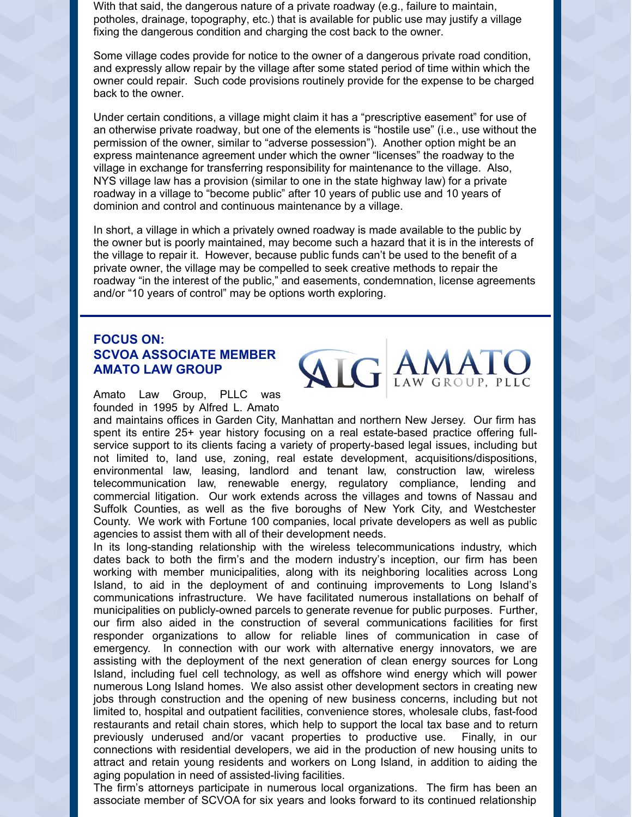With that said, the dangerous nature of a private roadway (e.g., failure to maintain, potholes, drainage, topography, etc.) that is available for public use may justify a village fixing the dangerous condition and charging the cost back to the owner.

Some village codes provide for notice to the owner of a dangerous private road condition, and expressly allow repair by the village after some stated period of time within which the owner could repair. Such code provisions routinely provide for the expense to be charged back to the owner.

Under certain conditions, a village might claim it has a "prescriptive easement" for use of an otherwise private roadway, but one of the elements is "hostile use" (i.e., use without the permission of the owner, similar to "adverse possession"). Another option might be an express maintenance agreement under which the owner "licenses" the roadway to the village in exchange for transferring responsibility for maintenance to the village. Also, NYS village law has a provision (similar to one in the state highway law) for a private roadway in a village to "become public" after 10 years of public use and 10 years of dominion and control and continuous maintenance by a village.

In short, a village in which a privately owned roadway is made available to the public by the owner but is poorly maintained, may become such a hazard that it is in the interests of the village to repair it. However, because public funds can't be used to the benefit of a private owner, the village may be compelled to seek creative methods to repair the roadway "in the interest of the public," and easements, condemnation, license agreements and/or "10 years of control" may be options worth exploring.

## **FOCUS ON: SCVOA ASSOCIATE MEMBER AMATO LAW GROUP**

Amato Law Group, PLLC was founded in 1995 by Alfred L. Amato

and maintains offices in Garden City, Manhattan and northern New Jersey. Our firm has spent its entire 25+ year history focusing on a real estate-based practice offering fullservice support to its clients facing a variety of property-based legal issues, including but not limited to, land use, zoning, real estate development, acquisitions/dispositions, environmental law, leasing, landlord and tenant law, construction law, wireless telecommunication law, renewable energy, regulatory compliance, lending and commercial litigation. Our work extends across the villages and towns of Nassau and Suffolk Counties, as well as the five boroughs of New York City, and Westchester County. We work with Fortune 100 companies, local private developers as well as public agencies to assist them with all of their development needs.

**ALG** 

In its long-standing relationship with the wireless telecommunications industry, which dates back to both the firm's and the modern industry's inception, our firm has been working with member municipalities, along with its neighboring localities across Long Island, to aid in the deployment of and continuing improvements to Long Island's communications infrastructure. We have facilitated numerous installations on behalf of municipalities on publicly-owned parcels to generate revenue for public purposes. Further, our firm also aided in the construction of several communications facilities for first responder organizations to allow for reliable lines of communication in case of emergency. In connection with our work with alternative energy innovators, we are assisting with the deployment of the next generation of clean energy sources for Long Island, including fuel cell technology, as well as offshore wind energy which will power numerous Long Island homes. We also assist other development sectors in creating new jobs through construction and the opening of new business concerns, including but not limited to, hospital and outpatient facilities, convenience stores, wholesale clubs, fast-food restaurants and retail chain stores, which help to support the local tax base and to return previously underused and/or vacant properties to productive use. Finally, in our connections with residential developers, we aid in the production of new housing units to attract and retain young residents and workers on Long Island, in addition to aiding the aging population in need of assisted-living facilities.

The firm's attorneys participate in numerous local organizations. The firm has been an associate member of SCVOA for six years and looks forward to its continued relationship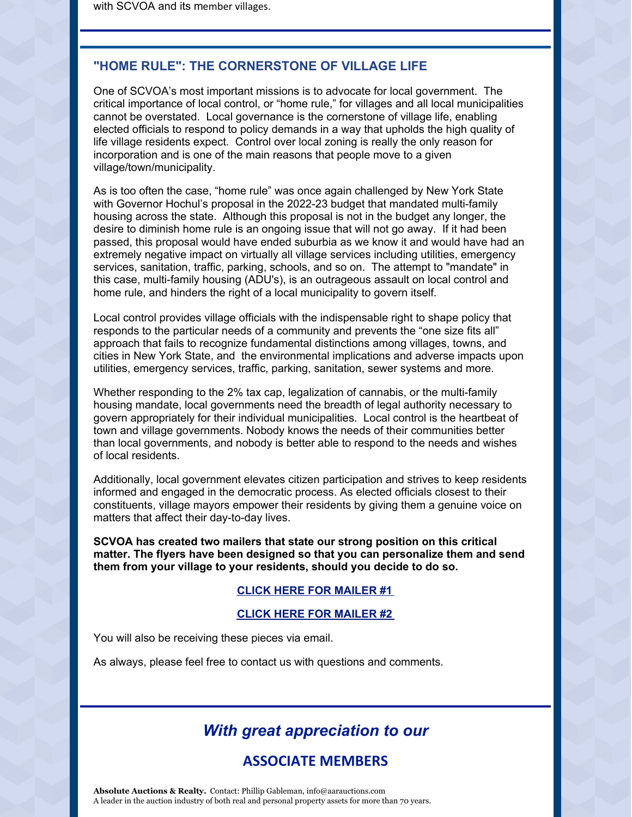### **"HOME RULE": THE CORNERSTONE OF VILLAGE LIFE**

One of SCVOA's most important missions is to advocate for local government. The critical importance of local control, or "home rule," for villages and all local municipalities cannot be overstated. Local governance is the cornerstone of village life, enabling elected officials to respond to policy demands in a way that upholds the high quality of life village residents expect. Control over local zoning is really the only reason for incorporation and is one of the main reasons that people move to a given village/town/municipality.

As is too often the case, "home rule" was once again challenged by New York State with Governor Hochul's proposal in the 2022-23 budget that mandated multi-family housing across the state. Although this proposal is not in the budget any longer, the desire to diminish home rule is an ongoing issue that will not go away. If it had been passed, this proposal would have ended suburbia as we know it and would have had an extremely negative impact on virtually all village services including utilities, emergency services, sanitation, traffic, parking, schools, and so on. The attempt to "mandate" in this case, multi-family housing (ADU's), is an outrageous assault on local control and home rule, and hinders the right of a local municipality to govern itself.

Local control provides village officials with the indispensable right to shape policy that responds to the particular needs of a community and prevents the "one size fits all" approach that fails to recognize fundamental distinctions among villages, towns, and cities in New York State, and the environmental implications and adverse impacts upon utilities, emergency services, traffic, parking, sanitation, sewer systems and more.

Whether responding to the 2% tax cap, legalization of cannabis, or the multi-family housing mandate, local governments need the breadth of legal authority necessary to govern appropriately for their individual municipalities. Local control is the heartbeat of town and village governments. Nobody knows the needs of their communities better than local governments, and nobody is better able to respond to the needs and wishes of local residents.

Additionally, local government elevates citizen participation and strives to keep residents informed and engaged in the democratic process. As elected officials closest to their constituents, village mayors empower their residents by giving them a genuine voice on matters that affect their day-to-day lives.

**SCVOA has created two mailers that state our strong position on this critical matter. The flyers have been designed so that you can personalize them and send them from your village to your residents, should you decide to do so.**

#### **CLICK HERE FOR [MAILER](https://files.constantcontact.com/6c889c87be/6a8d9a67-9840-481e-ab3f-a73d7b974461.pdf?rdr=true) #1**

#### **CLICK HERE FOR [MAILER](https://files.constantcontact.com/6c889c87be/8cf2f582-3fe2-4a6e-8037-886a21928a66.pdf?rdr=true) #2**

You will also be receiving these pieces via email.

As always, please feel free to contact us with questions and comments.

## *With great appreciation to our*

## **ASSOCIATE MEMBERS**

**Absolute Auctions & Realty.** Contact: Phillip Gableman, info@aarauctions.com A leader in the auction industry of both real and personal property assets for more than 70 years.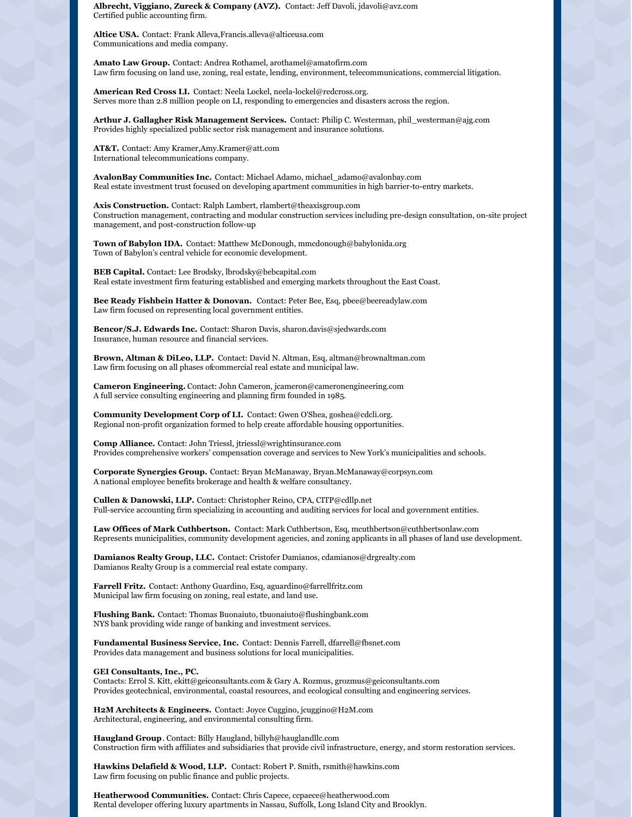**Albrecht, Viggiano, Zureck & Company (AVZ).** Contact: Jeff Davoli, jdavoli@avz.com Certified public accounting firm.

**Altice USA.** Contact: Frank Alleva,Francis.alleva@alticeusa.com Communications and media company.

**Amato Law Group.** Contact: Andrea Rothamel, arothamel@amatofirm.com Law firm focusing on land use, zoning, real estate, lending, environment, telecommunications, commercial litigation.

**American Red Cross LI.** Contact: Neela Lockel, neela-lockel@redcross.org. Serves more than 2.8 million people on LI, responding to emergencies and disasters across the region.

**Arthur J. Gallagher Risk Management Services.** Contact: Philip C. Westerman, phil\_westerman@ajg.com Provides highly specialized public sector risk management and insurance solutions.

**AT&T.** Contact: Amy Kramer,Amy.Kramer@att.com International telecommunications company.

**AvalonBay Communities Inc.** Contact: Michael Adamo, michael\_adamo@avalonbay.com Real estate investment trust focused on developing apartment communities in high barrier-to-entry markets.

**Axis Construction.** Contact: Ralph Lambert, rlambert@theaxisgroup.com Construction management, contracting and modular construction services including pre-design consultation, on-site project management, and post-construction follow-up

**Town of Babylon IDA.** Contact: Matthew McDonough, mmcdonough@babylonida.org Town of Babylon's central vehicle for economic development.

**BEB Capital.** Contact: Lee Brodsky, lbrodsky@bebcapital.com Real estate investment firm featuring established and emerging markets throughout the East Coast.

**Bee Ready Fishbein Hatter & Donovan.** Contact: Peter Bee, Esq, pbee@beereadylaw.com Law firm focused on representing local government entities.

**Bencor/S.J. Edwards Inc.** Contact: Sharon Davis, sharon.davis@sjedwards.com Insurance, human resource and financial services.

**Brown, Altman & DiLeo, LLP.** Contact: David N. Altman, Esq, altman@brownaltman.com Law firm focusing on all phases ofcommercial real estate and municipal law.

**Cameron Engineering.** Contact: John Cameron, jcameron@cameronengineering.com A full service consulting engineering and planning firm founded in 1985.

**Community Development Corp of LI.** Contact: Gwen O'Shea, goshea@cdcli.org. Regional non-profit organization formed to help create affordable housing opportunities.

**Comp Alliance.** Contact: John Triessl, jtriessl@wrightinsurance.com Provides comprehensive workers' compensation coverage and services to New York's municipalities and schools.

**Corporate Synergies Group.** Contact: Bryan McManaway, Bryan.McManaway@corpsyn.com A national employee benefits brokerage and health & welfare consultancy.

**Cullen & Danowski, LLP.** Contact: Christopher Reino, CPA, CITP@cdllp.net Full-service accounting firm specializing in accounting and auditing services for local and government entities.

**Law Offices of Mark Cuthbertson.** Contact: Mark Cuthbertson, Esq, mcuthbertson@cuthbertsonlaw.com Represents municipalities, community development agencies, and zoning applicants in all phases of land use development.

**Damianos Realty Group, LLC.** Contact: Cristofer Damianos, cdamianos@drgrealty.com Damianos Realty Group is a commercial real estate company.

**Farrell Fritz.** Contact: Anthony Guardino, Esq, aguardino@farrellfritz.com Municipal law firm focusing on zoning, real estate, and land use.

**Flushing Bank.** Contact: Thomas Buonaiuto, tbuonaiuto@flushingbank.com NYS bank providing wide range of banking and investment services.

**Fundamental Business Service, Inc.** Contact: Dennis Farrell, dfarrell@fbsnet.com Provides data management and business solutions for local municipalities.

#### **GEI Consultants, Inc., PC.**

Contacts: Errol S. Kitt, ekitt@geiconsultants.com & Gary A. Rozmus, grozmus@geiconsultants.com Provides geotechnical, environmental, coastal resources, and ecological consulting and engineering services.

**H2M Architects & Engineers.** Contact: Joyce Cuggino, jcuggino@H2M.com Architectural, engineering, and environmental consulting firm.

**Haugland Group**. Contact: Billy Haugland, billyh@hauglandllc.com Construction firm with affiliates and subsidiaries that provide civil infrastructure, energy, and storm restoration services.

**Hawkins Delafield & Wood, LLP.** Contact: Robert P. Smith, rsmith@hawkins.com Law firm focusing on public finance and public projects.

**Heatherwood Communities.** Contact: Chris Capece, ccpaece@heatherwood.com Rental developer offering luxury apartments in Nassau, Suffolk, Long Island City and Brooklyn.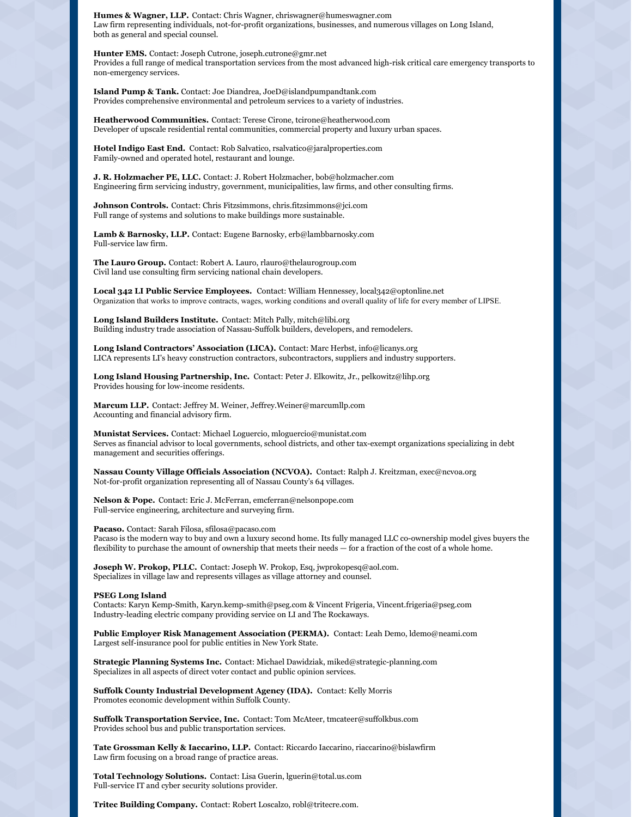**Humes & Wagner, LLP.** Contact: Chris Wagner, chriswagner@humeswagner.com Law firm representing individuals, not-for-profit organizations, businesses, and numerous villages on Long Island, both as general and special counsel.

**Hunter EMS.** Contact: Joseph Cutrone, joseph.cutrone@gmr.net Provides a full range of medical transportation services from the most advanced high-risk critical care emergency transports to non-emergency services.

**Island Pump & Tank.** Contact: Joe Diandrea, JoeD@islandpumpandtank.com Provides comprehensive environmental and petroleum services to a variety of industries.

**Heatherwood Communities.** Contact: Terese Cirone, tcirone@heatherwood.com Developer of upscale residential rental communities, commercial property and luxury urban spaces.

**Hotel Indigo East End.** Contact: Rob Salvatico, rsalvatico@jaralproperties.com Family-owned and operated hotel, restaurant and lounge.

**J. R. Holzmacher PE, LLC.** Contact: J. Robert Holzmacher, bob@holzmacher.com Engineering firm servicing industry, government, municipalities, law firms, and other consulting firms.

**Johnson Controls.** Contact: Chris Fitzsimmons, chris.fitzsimmons@jci.com Full range of systems and solutions to make buildings more sustainable.

**Lamb & Barnosky, LLP.** Contact: Eugene Barnosky, erb@lambbarnosky.com Full-service law firm.

**The Lauro Group.** Contact: Robert A. Lauro, rlauro@thelaurogroup.com Civil land use consulting firm servicing national chain developers.

**Local 342 LI Public Service Employees.** Contact: William Hennessey, local342@optonline.net Organization that works to improve contracts, wages, working conditions and overall quality of life for every member of LIPSE.

**Long Island Builders Institute.** Contact: Mitch Pally, mitch@libi.org Building industry trade association of Nassau-Suffolk builders, developers, and remodelers.

**Long Island Contractors' Association (LICA).** Contact: Marc Herbst, info@licanys.org LICA represents LI's heavy construction contractors, subcontractors, suppliers and industry supporters.

**Long Island Housing Partnership, Inc.** Contact: Peter J. Elkowitz, Jr., pelkowitz@lihp.org Provides housing for low-income residents.

**Marcum LLP.** Contact: Jeffrey M. Weiner, Jeffrey.Weiner@marcumllp.com Accounting and financial advisory firm.

**Munistat Services.** Contact: Michael Loguercio, mloguercio@munistat.com Serves as financial advisor to local governments, school districts, and other tax-exempt organizations specializing in debt management and securities offerings.

**Nassau County Village Officials Association (NCVOA).** Contact: Ralph J. Kreitzman, exec@ncvoa.org Not-for-profit organization representing all of Nassau County's 64 villages.

**Nelson & Pope.** Contact: Eric J. McFerran, emcferran@nelsonpope.com Full-service engineering, architecture and surveying firm.

**Pacaso.** Contact: Sarah Filosa, sfilosa@pacaso.com Pacaso is the modern way to buy and own a luxury second home. Its fully managed LLC co-ownership model gives buyers the flexibility to purchase the amount of ownership that meets their needs — for a fraction of the cost of a whole home.

**Joseph W. Prokop, PLLC.** Contact: Joseph W. Prokop, Esq, jwprokopesq@aol.com. Specializes in village law and represents villages as village attorney and counsel.

**PSEG Long Island**

Contacts: Karyn Kemp-Smith, Karyn.kemp-smith@pseg.com & Vincent Frigeria, Vincent.frigeria@pseg.com Industry-leading electric company providing service on LI and The Rockaways.

**Public Employer Risk Management Association (PERMA).** Contact: Leah Demo, ldemo@neami.com Largest self-insurance pool for public entities in New York State.

**Strategic Planning Systems Inc.** Contact: Michael Dawidziak, miked@strategic-planning.com Specializes in all aspects of direct voter contact and public opinion services.

**Suffolk County Industrial Development Agency (IDA).** Contact: Kelly Morris Promotes economic development within Suffolk County.

**Suffolk Transportation Service, Inc.** Contact: Tom McAteer, tmcateer@suffolkbus.com Provides school bus and public transportation services.

**Tate Grossman Kelly & Iaccarino, LLP.** Contact: Riccardo Iaccarino, riaccarino@bislawfirm Law firm focusing on a broad range of practice areas.

**Total Technology Solutions.** Contact: Lisa Guerin, lguerin@total.us.com Full-service IT and cyber security solutions provider.

**Tritec Building Company.** Contact: Robert Loscalzo, robl@tritecre.com.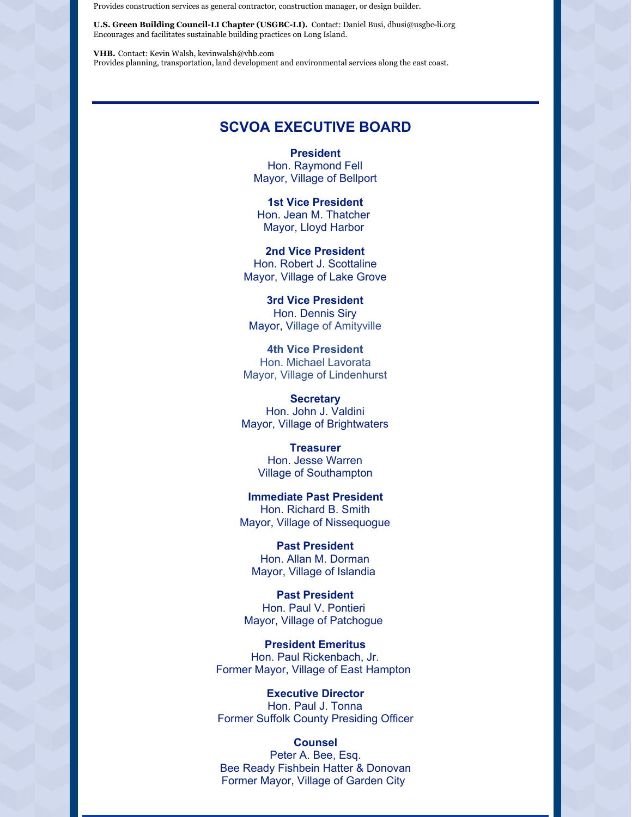Provides construction services as general contractor, construction manager, or design builder.

**U.S. Green Building Council-LI Chapter (USGBC-LI).** Contact: Daniel Busi, dbusi@usgbc-li.org Encourages and facilitates sustainable building practices on Long Island.

**VHB.** Contact: Kevin Walsh, kevinwalsh@vhb.com Provides planning, transportation, land development and environmental services along the east coast.

## **SCVOA EXECUTIVE BOARD**

**President** Hon. Raymond Fell Mayor, Village of Bellport

**1st Vice President** Hon. Jean M. Thatcher Mayor, Lloyd Harbor

**2nd Vice President** Hon. Robert J. Scottaline Mayor, Village of Lake Grove

**3rd Vice President** Hon. Dennis Siry Mayor, Village of Amityville

**4th Vice President** Hon. Michael Lavorata Mayor, Village of Lindenhurst

**Secretary** Hon. John J. Valdini Mayor, Village of Brightwaters

> **Treasurer** Hon. Jesse Warren Village of Southampton

**Immediate Past President** Hon. Richard B. Smith Mayor, Village of Nissequogue

**Past President** Hon. Allan M. Dorman Mayor, Village of Islandia

**Past President** Hon. Paul V. Pontieri Mayor, Village of Patchogue

**President Emeritus** Hon. Paul Rickenbach, Jr. Former Mayor, Village of East Hampton

**Executive Director** Hon. Paul J. Tonna Former Suffolk County Presiding Officer

**Counsel** Peter A. Bee, Esq. Bee Ready Fishbein Hatter & Donovan Former Mayor, Village of Garden City